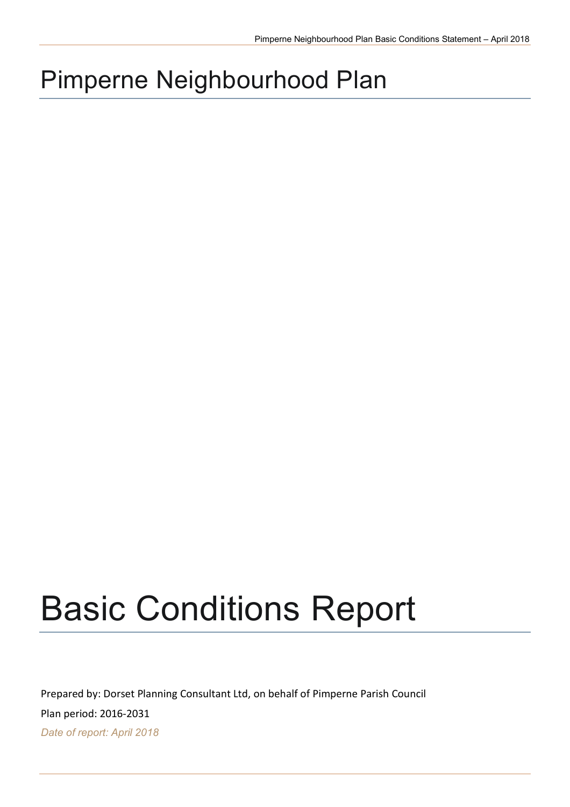# Pimperne Neighbourhood Plan

# Basic Conditions Report

Prepared by: Dorset Planning Consultant Ltd, on behalf of Pimperne Parish Council

Plan period: 2016-2031

*Date of report: April 2018*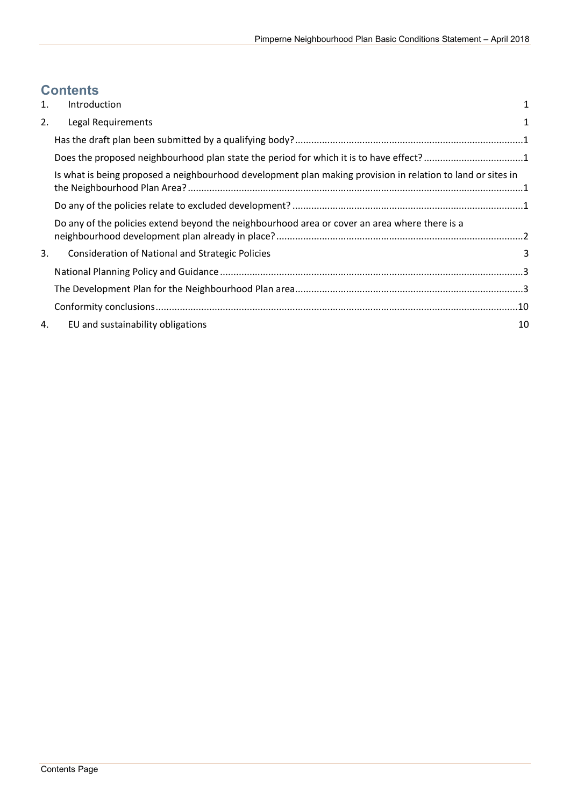# **Contents**

| 1. | Introduction                                                                                                | 1  |
|----|-------------------------------------------------------------------------------------------------------------|----|
| 2. | Legal Requirements                                                                                          | 1  |
|    |                                                                                                             |    |
|    | Does the proposed neighbourhood plan state the period for which it is to have effect?1                      |    |
|    | Is what is being proposed a neighbourhood development plan making provision in relation to land or sites in |    |
|    |                                                                                                             |    |
|    | Do any of the policies extend beyond the neighbourhood area or cover an area where there is a               |    |
| 3. | Consideration of National and Strategic Policies                                                            | 3  |
|    |                                                                                                             |    |
|    |                                                                                                             |    |
|    |                                                                                                             |    |
| 4. | EU and sustainability obligations                                                                           | 10 |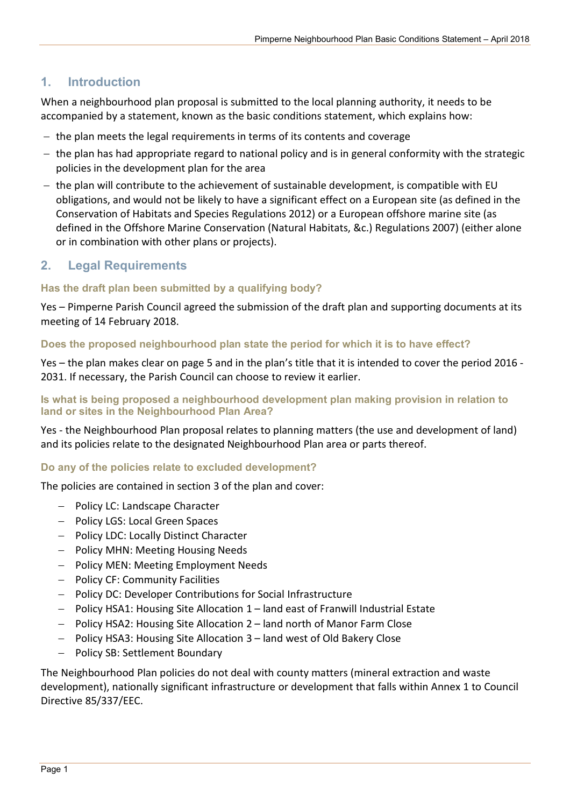# <span id="page-2-0"></span>**1. Introduction**

When a neighbourhood plan proposal is submitted to the local planning authority, it needs to be accompanied by a statement, known as the basic conditions statement, which explains how:

- $-$  the plan meets the legal requirements in terms of its contents and coverage
- $-$  the plan has had appropriate regard to national policy and is in general conformity with the strategic policies in the development plan for the area
- $-$  the plan will contribute to the achievement of sustainable development, is compatible with EU obligations, and would not be likely to have a significant effect on a European site (as defined in the Conservation of Habitats and Species Regulations 2012) or a European offshore marine site (as defined in the Offshore Marine Conservation (Natural Habitats, &c.) Regulations 2007) (either alone or in combination with other plans or projects).

# <span id="page-2-1"></span>**2. Legal Requirements**

# <span id="page-2-2"></span>**Has the draft plan been submitted by a qualifying body?**

Yes – Pimperne Parish Council agreed the submission of the draft plan and supporting documents at its meeting of 14 February 2018.

# <span id="page-2-3"></span>**Does the proposed neighbourhood plan state the period for which it is to have effect?**

Yes – the plan makes clear on page 5 and in the plan's title that it is intended to cover the period 2016 - 2031. If necessary, the Parish Council can choose to review it earlier.

#### <span id="page-2-4"></span>**Is what is being proposed a neighbourhood development plan making provision in relation to land or sites in the Neighbourhood Plan Area?**

Yes - the Neighbourhood Plan proposal relates to planning matters (the use and development of land) and its policies relate to the designated Neighbourhood Plan area or parts thereof.

# <span id="page-2-5"></span>**Do any of the policies relate to excluded development?**

The policies are contained in section 3 of the plan and cover:

- Policy LC: Landscape Character
- Policy LGS: Local Green Spaces
- Policy LDC: Locally Distinct Character
- Policy MHN: Meeting Housing Needs
- Policy MEN: Meeting Employment Needs
- Policy CF: Community Facilities
- Policy DC: Developer Contributions for Social Infrastructure
- Policy HSA1: Housing Site Allocation 1 land east of Franwill Industrial Estate
- Policy HSA2: Housing Site Allocation 2 land north of Manor Farm Close
- $-$  Policy HSA3: Housing Site Allocation 3 land west of Old Bakery Close
- Policy SB: Settlement Boundary

The Neighbourhood Plan policies do not deal with county matters (mineral extraction and waste development), nationally significant infrastructure or development that falls within Annex 1 to Council Directive 85/337/EEC.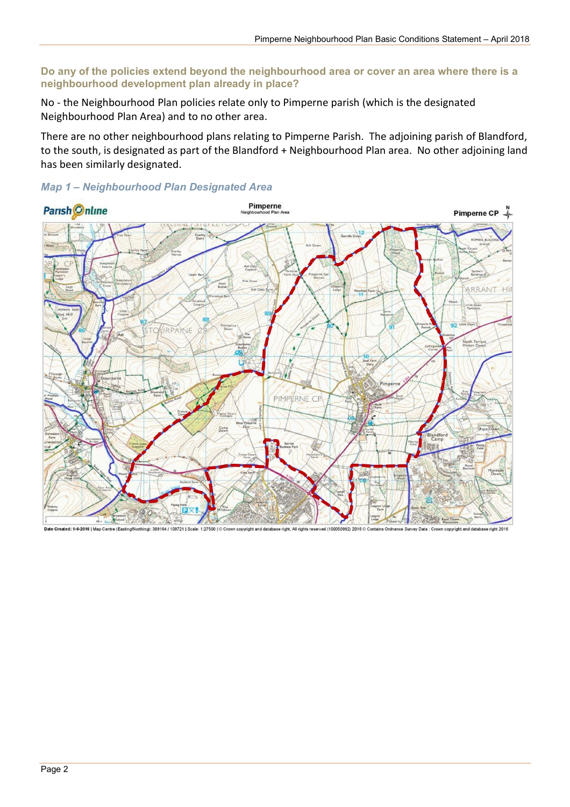#### <span id="page-3-0"></span>**Do any of the policies extend beyond the neighbourhood area or cover an area where there is a neighbourhood development plan already in place?**

No - the Neighbourhood Plan policies relate only to Pimperne parish (which is the designated Neighbourhood Plan Area) and to no other area.

There are no other neighbourhood plans relating to Pimperne Parish. The adjoining parish of Blandford, to the south, is designated as part of the Blandford + Neighbourhood Plan area. No other adjoining land has been similarly designated.

#### *Map 1 – Neighbourhood Plan Designated Area*



Date Created: 1-6-2016 | Map Centre (Easting ing): 389164 / 109721 | Scale: 1:27500 | © C right. All rig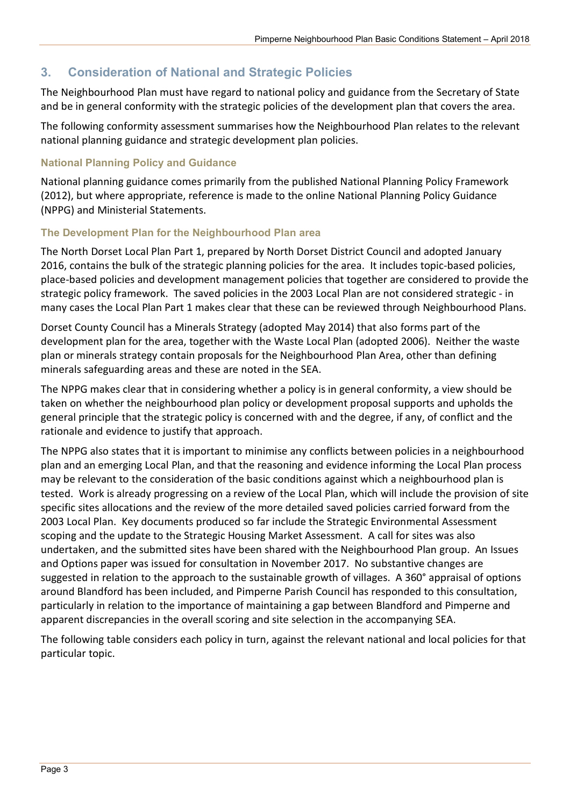# <span id="page-4-0"></span>**3. Consideration of National and Strategic Policies**

The Neighbourhood Plan must have regard to national policy and guidance from the Secretary of State and be in general conformity with the strategic policies of the development plan that covers the area.

The following conformity assessment summarises how the Neighbourhood Plan relates to the relevant national planning guidance and strategic development plan policies.

#### <span id="page-4-1"></span>**National Planning Policy and Guidance**

National planning guidance comes primarily from the published National Planning Policy Framework (2012), but where appropriate, reference is made to the online National Planning Policy Guidance (NPPG) and Ministerial Statements.

#### <span id="page-4-2"></span>**The Development Plan for the Neighbourhood Plan area**

The North Dorset Local Plan Part 1, prepared by North Dorset District Council and adopted January 2016, contains the bulk of the strategic planning policies for the area. It includes topic-based policies, place-based policies and development management policies that together are considered to provide the strategic policy framework. The saved policies in the 2003 Local Plan are not considered strategic - in many cases the Local Plan Part 1 makes clear that these can be reviewed through Neighbourhood Plans.

Dorset County Council has a Minerals Strategy (adopted May 2014) that also forms part of the development plan for the area, together with the Waste Local Plan (adopted 2006). Neither the waste plan or minerals strategy contain proposals for the Neighbourhood Plan Area, other than defining minerals safeguarding areas and these are noted in the SEA.

The NPPG makes clear that in considering whether a policy is in general conformity, a view should be taken on whether the neighbourhood plan policy or development proposal supports and upholds the general principle that the strategic policy is concerned with and the degree, if any, of conflict and the rationale and evidence to justify that approach.

The NPPG also states that it is important to minimise any conflicts between policies in a neighbourhood plan and an emerging Local Plan, and that the reasoning and evidence informing the Local Plan process may be relevant to the consideration of the basic conditions against which a neighbourhood plan is tested. Work is already progressing on a review of the Local Plan, which will include the provision of site specific sites allocations and the review of the more detailed saved policies carried forward from the 2003 Local Plan. Key documents produced so far include the Strategic Environmental Assessment scoping and the update to the Strategic Housing Market Assessment. A call for sites was also undertaken, and the submitted sites have been shared with the Neighbourhood Plan group. An Issues and Options paper was issued for consultation in November 2017. No substantive changes are suggested in relation to the approach to the sustainable growth of villages. A 360° appraisal of options around Blandford has been included, and Pimperne Parish Council has responded to this consultation, particularly in relation to the importance of maintaining a gap between Blandford and Pimperne and apparent discrepancies in the overall scoring and site selection in the accompanying SEA.

The following table considers each policy in turn, against the relevant national and local policies for that particular topic.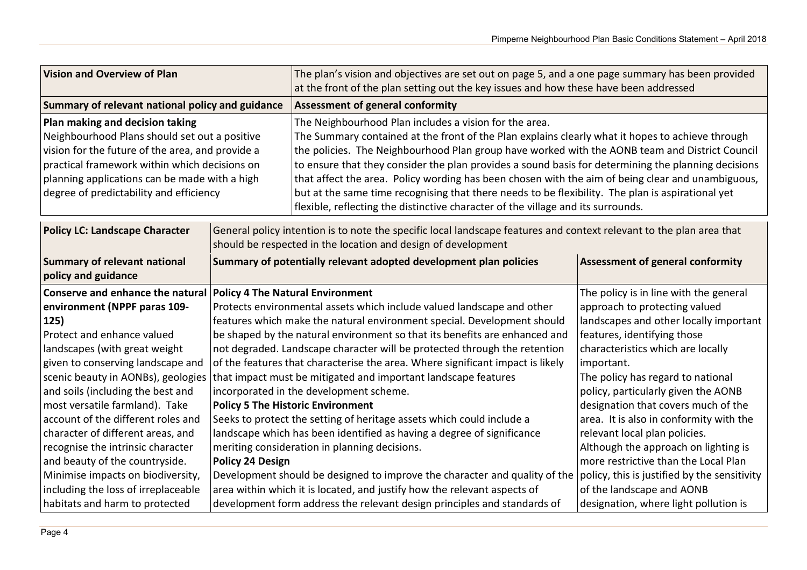| <b>Vision and Overview of Plan</b>                                                                                                                                                                                                                                                |  | The plan's vision and objectives are set out on page 5, and a one page summary has been provided<br>at the front of the plan setting out the key issues and how these have been addressed                                                                                                                                                                                                                                                                                                                                                                                                                                                                         |                                              |  |  |  |  |  |
|-----------------------------------------------------------------------------------------------------------------------------------------------------------------------------------------------------------------------------------------------------------------------------------|--|-------------------------------------------------------------------------------------------------------------------------------------------------------------------------------------------------------------------------------------------------------------------------------------------------------------------------------------------------------------------------------------------------------------------------------------------------------------------------------------------------------------------------------------------------------------------------------------------------------------------------------------------------------------------|----------------------------------------------|--|--|--|--|--|
| Summary of relevant national policy and guidance                                                                                                                                                                                                                                  |  | <b>Assessment of general conformity</b>                                                                                                                                                                                                                                                                                                                                                                                                                                                                                                                                                                                                                           |                                              |  |  |  |  |  |
| Plan making and decision taking<br>Neighbourhood Plans should set out a positive<br>vision for the future of the area, and provide a<br>practical framework within which decisions on<br>planning applications can be made with a high<br>degree of predictability and efficiency |  | The Neighbourhood Plan includes a vision for the area.<br>The Summary contained at the front of the Plan explains clearly what it hopes to achieve through<br>the policies. The Neighbourhood Plan group have worked with the AONB team and District Council<br>to ensure that they consider the plan provides a sound basis for determining the planning decisions<br>that affect the area. Policy wording has been chosen with the aim of being clear and unambiguous,<br>but at the same time recognising that there needs to be flexibility. The plan is aspirational yet<br>flexible, reflecting the distinctive character of the village and its surrounds. |                                              |  |  |  |  |  |
| <b>Policy LC: Landscape Character</b>                                                                                                                                                                                                                                             |  | General policy intention is to note the specific local landscape features and context relevant to the plan area that<br>should be respected in the location and design of development                                                                                                                                                                                                                                                                                                                                                                                                                                                                             |                                              |  |  |  |  |  |
| <b>Summary of relevant national</b><br>policy and guidance                                                                                                                                                                                                                        |  | Summary of potentially relevant adopted development plan policies                                                                                                                                                                                                                                                                                                                                                                                                                                                                                                                                                                                                 | <b>Assessment of general conformity</b>      |  |  |  |  |  |
| Conserve and enhance the natural                                                                                                                                                                                                                                                  |  | <b>Policy 4 The Natural Environment</b>                                                                                                                                                                                                                                                                                                                                                                                                                                                                                                                                                                                                                           | The policy is in line with the general       |  |  |  |  |  |
| environment (NPPF paras 109-                                                                                                                                                                                                                                                      |  | Protects environmental assets which include valued landscape and other                                                                                                                                                                                                                                                                                                                                                                                                                                                                                                                                                                                            | approach to protecting valued                |  |  |  |  |  |
| 125)                                                                                                                                                                                                                                                                              |  | features which make the natural environment special. Development should                                                                                                                                                                                                                                                                                                                                                                                                                                                                                                                                                                                           | landscapes and other locally important       |  |  |  |  |  |
| Protect and enhance valued                                                                                                                                                                                                                                                        |  | be shaped by the natural environment so that its benefits are enhanced and                                                                                                                                                                                                                                                                                                                                                                                                                                                                                                                                                                                        | features, identifying those                  |  |  |  |  |  |
| landscapes (with great weight                                                                                                                                                                                                                                                     |  | not degraded. Landscape character will be protected through the retention                                                                                                                                                                                                                                                                                                                                                                                                                                                                                                                                                                                         | characteristics which are locally            |  |  |  |  |  |
| given to conserving landscape and                                                                                                                                                                                                                                                 |  | of the features that characterise the area. Where significant impact is likely                                                                                                                                                                                                                                                                                                                                                                                                                                                                                                                                                                                    | important.                                   |  |  |  |  |  |
| scenic beauty in AONBs), geologies                                                                                                                                                                                                                                                |  | that impact must be mitigated and important landscape features                                                                                                                                                                                                                                                                                                                                                                                                                                                                                                                                                                                                    | The policy has regard to national            |  |  |  |  |  |
| and soils (including the best and                                                                                                                                                                                                                                                 |  | incorporated in the development scheme.                                                                                                                                                                                                                                                                                                                                                                                                                                                                                                                                                                                                                           | policy, particularly given the AONB          |  |  |  |  |  |
| most versatile farmland). Take                                                                                                                                                                                                                                                    |  | <b>Policy 5 The Historic Environment</b>                                                                                                                                                                                                                                                                                                                                                                                                                                                                                                                                                                                                                          | designation that covers much of the          |  |  |  |  |  |
| account of the different roles and                                                                                                                                                                                                                                                |  | Seeks to protect the setting of heritage assets which could include a                                                                                                                                                                                                                                                                                                                                                                                                                                                                                                                                                                                             | area. It is also in conformity with the      |  |  |  |  |  |
| character of different areas, and                                                                                                                                                                                                                                                 |  | landscape which has been identified as having a degree of significance                                                                                                                                                                                                                                                                                                                                                                                                                                                                                                                                                                                            | relevant local plan policies.                |  |  |  |  |  |
| recognise the intrinsic character                                                                                                                                                                                                                                                 |  | meriting consideration in planning decisions.                                                                                                                                                                                                                                                                                                                                                                                                                                                                                                                                                                                                                     | Although the approach on lighting is         |  |  |  |  |  |
| and beauty of the countryside.<br><b>Policy 24 Design</b>                                                                                                                                                                                                                         |  |                                                                                                                                                                                                                                                                                                                                                                                                                                                                                                                                                                                                                                                                   | more restrictive than the Local Plan         |  |  |  |  |  |
| Minimise impacts on biodiversity,                                                                                                                                                                                                                                                 |  | Development should be designed to improve the character and quality of the                                                                                                                                                                                                                                                                                                                                                                                                                                                                                                                                                                                        | policy, this is justified by the sensitivity |  |  |  |  |  |
| including the loss of irreplaceable                                                                                                                                                                                                                                               |  | area within which it is located, and justify how the relevant aspects of                                                                                                                                                                                                                                                                                                                                                                                                                                                                                                                                                                                          | of the landscape and AONB                    |  |  |  |  |  |
| habitats and harm to protected                                                                                                                                                                                                                                                    |  | development form address the relevant design principles and standards of                                                                                                                                                                                                                                                                                                                                                                                                                                                                                                                                                                                          | designation, where light pollution is        |  |  |  |  |  |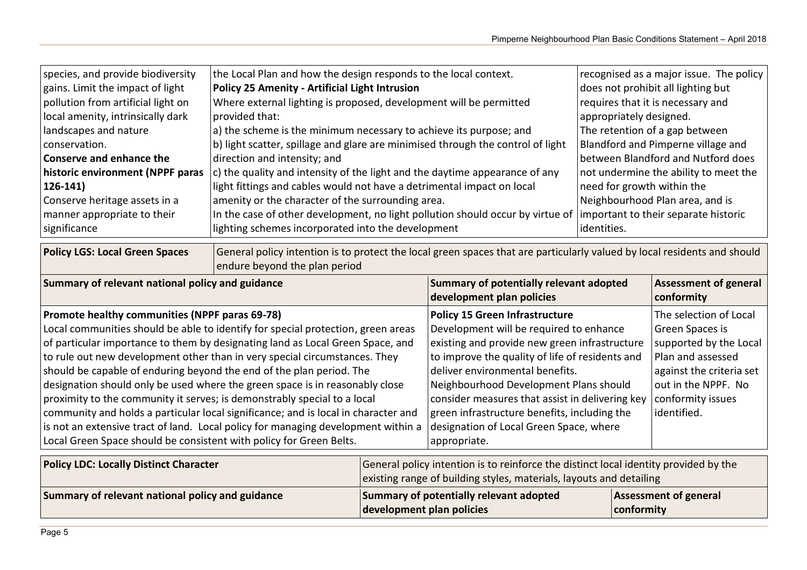| species, and provide biodiversity<br>gains. Limit the impact of light<br>pollution from artificial light on<br>local amenity, intrinsically dark<br>landscapes and nature<br>conservation.<br>Conserve and enhance the<br>historic environment (NPPF paras<br>$126-141$<br>Conserve heritage assets in a<br>manner appropriate to their<br>significance                                                                                                                                                                                                                                                                                                                                                                                                                                  | the Local Plan and how the design responds to the local context.<br><b>Policy 25 Amenity - Artificial Light Intrusion</b><br>Where external lighting is proposed, development will be permitted<br>provided that:<br>a) the scheme is the minimum necessary to achieve its purpose; and<br>b) light scatter, spillage and glare are minimised through the control of light<br>direction and intensity; and<br>c) the quality and intensity of the light and the daytime appearance of any<br>light fittings and cables would not have a detrimental impact on local<br>amenity or the character of the surrounding area.<br>In the case of other development, no light pollution should occur by virtue of important to their separate historic<br>lighting schemes incorporated into the development |                                                                                                                                                                                                                                                                                                                                                                                                                                 |                                                                                                                                                                                 | recognised as a major issue. The policy<br>does not prohibit all lighting but<br>requires that it is necessary and<br>appropriately designed.<br>The retention of a gap between<br>Blandford and Pimperne village and<br>between Blandford and Nutford does<br>not undermine the ability to meet the<br>need for growth within the<br>Neighbourhood Plan area, and is<br>identities. |  |  |
|------------------------------------------------------------------------------------------------------------------------------------------------------------------------------------------------------------------------------------------------------------------------------------------------------------------------------------------------------------------------------------------------------------------------------------------------------------------------------------------------------------------------------------------------------------------------------------------------------------------------------------------------------------------------------------------------------------------------------------------------------------------------------------------|-------------------------------------------------------------------------------------------------------------------------------------------------------------------------------------------------------------------------------------------------------------------------------------------------------------------------------------------------------------------------------------------------------------------------------------------------------------------------------------------------------------------------------------------------------------------------------------------------------------------------------------------------------------------------------------------------------------------------------------------------------------------------------------------------------|---------------------------------------------------------------------------------------------------------------------------------------------------------------------------------------------------------------------------------------------------------------------------------------------------------------------------------------------------------------------------------------------------------------------------------|---------------------------------------------------------------------------------------------------------------------------------------------------------------------------------|--------------------------------------------------------------------------------------------------------------------------------------------------------------------------------------------------------------------------------------------------------------------------------------------------------------------------------------------------------------------------------------|--|--|
| General policy intention is to protect the local green spaces that are particularly valued by local residents and should<br><b>Policy LGS: Local Green Spaces</b><br>endure beyond the plan period                                                                                                                                                                                                                                                                                                                                                                                                                                                                                                                                                                                       |                                                                                                                                                                                                                                                                                                                                                                                                                                                                                                                                                                                                                                                                                                                                                                                                       |                                                                                                                                                                                                                                                                                                                                                                                                                                 |                                                                                                                                                                                 |                                                                                                                                                                                                                                                                                                                                                                                      |  |  |
| Summary of relevant national policy and guidance                                                                                                                                                                                                                                                                                                                                                                                                                                                                                                                                                                                                                                                                                                                                         |                                                                                                                                                                                                                                                                                                                                                                                                                                                                                                                                                                                                                                                                                                                                                                                                       | Summary of potentially relevant adopted<br>development plan policies                                                                                                                                                                                                                                                                                                                                                            | <b>Assessment of general</b><br>conformity                                                                                                                                      |                                                                                                                                                                                                                                                                                                                                                                                      |  |  |
| Promote healthy communities (NPPF paras 69-78)<br>Local communities should be able to identify for special protection, green areas<br>of particular importance to them by designating land as Local Green Space, and<br>to rule out new development other than in very special circumstances. They<br>should be capable of enduring beyond the end of the plan period. The<br>designation should only be used where the green space is in reasonably close<br>proximity to the community it serves; is demonstrably special to a local<br>community and holds a particular local significance; and is local in character and<br>is not an extensive tract of land. Local policy for managing development within a<br>Local Green Space should be consistent with policy for Green Belts. |                                                                                                                                                                                                                                                                                                                                                                                                                                                                                                                                                                                                                                                                                                                                                                                                       | <b>Policy 15 Green Infrastructure</b><br>Development will be required to enhance<br>existing and provide new green infrastructure<br>to improve the quality of life of residents and<br>deliver environmental benefits.<br>Neighbourhood Development Plans should<br>consider measures that assist in delivering key<br>green infrastructure benefits, including the<br>designation of Local Green Space, where<br>appropriate. | The selection of Local<br>Green Spaces is<br>supported by the Local<br>Plan and assessed<br>against the criteria set<br>out in the NPPF. No<br>conformity issues<br>identified. |                                                                                                                                                                                                                                                                                                                                                                                      |  |  |
| <b>Policy LDC: Locally Distinct Character</b>                                                                                                                                                                                                                                                                                                                                                                                                                                                                                                                                                                                                                                                                                                                                            |                                                                                                                                                                                                                                                                                                                                                                                                                                                                                                                                                                                                                                                                                                                                                                                                       | General policy intention is to reinforce the distinct local identity provided by the<br>existing range of building styles, materials, layouts and detailing                                                                                                                                                                                                                                                                     |                                                                                                                                                                                 |                                                                                                                                                                                                                                                                                                                                                                                      |  |  |
| Summary of relevant national policy and guidance                                                                                                                                                                                                                                                                                                                                                                                                                                                                                                                                                                                                                                                                                                                                         | development plan policies                                                                                                                                                                                                                                                                                                                                                                                                                                                                                                                                                                                                                                                                                                                                                                             | <b>Summary of potentially relevant adopted</b>                                                                                                                                                                                                                                                                                                                                                                                  | <b>Assessment of general</b><br>conformity                                                                                                                                      |                                                                                                                                                                                                                                                                                                                                                                                      |  |  |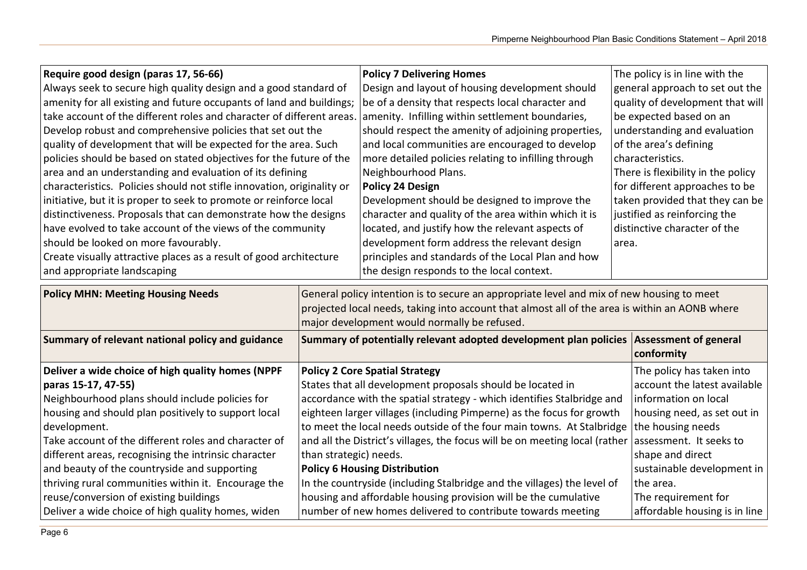| Require good design (paras 17, 56-66)<br>Always seek to secure high quality design and a good standard of<br>amenity for all existing and future occupants of land and buildings;<br>take account of the different roles and character of different areas<br>Develop robust and comprehensive policies that set out the<br>quality of development that will be expected for the area. Such<br>policies should be based on stated objectives for the future of the<br>area and an understanding and evaluation of its defining<br>characteristics. Policies should not stifle innovation, originality or<br>initiative, but it is proper to seek to promote or reinforce local<br>distinctiveness. Proposals that can demonstrate how the designs<br>have evolved to take account of the views of the community<br>should be looked on more favourably.<br>Create visually attractive places as a result of good architecture<br>and appropriate landscaping |                                                                                                                                                                                                                                             | <b>Policy 7 Delivering Homes</b><br>Design and layout of housing development should<br>be of a density that respects local character and<br>amenity. Infilling within settlement boundaries,<br>should respect the amenity of adjoining properties,<br>and local communities are encouraged to develop<br>more detailed policies relating to infilling through<br>Neighbourhood Plans.<br><b>Policy 24 Design</b><br>Development should be designed to improve the<br>character and quality of the area within which it is<br>located, and justify how the relevant aspects of<br>development form address the relevant design<br>principles and standards of the Local Plan and how<br>the design responds to the local context. |  | The policy is in line with the<br>general approach to set out the<br>quality of development that will<br>be expected based on an<br>understanding and evaluation<br>of the area's defining<br>characteristics.<br>There is flexibility in the policy<br>for different approaches to be<br>taken provided that they can be<br>justified as reinforcing the<br>distinctive character of the<br>area. |  |  |
|-------------------------------------------------------------------------------------------------------------------------------------------------------------------------------------------------------------------------------------------------------------------------------------------------------------------------------------------------------------------------------------------------------------------------------------------------------------------------------------------------------------------------------------------------------------------------------------------------------------------------------------------------------------------------------------------------------------------------------------------------------------------------------------------------------------------------------------------------------------------------------------------------------------------------------------------------------------|---------------------------------------------------------------------------------------------------------------------------------------------------------------------------------------------------------------------------------------------|-----------------------------------------------------------------------------------------------------------------------------------------------------------------------------------------------------------------------------------------------------------------------------------------------------------------------------------------------------------------------------------------------------------------------------------------------------------------------------------------------------------------------------------------------------------------------------------------------------------------------------------------------------------------------------------------------------------------------------------|--|----------------------------------------------------------------------------------------------------------------------------------------------------------------------------------------------------------------------------------------------------------------------------------------------------------------------------------------------------------------------------------------------------|--|--|
| <b>Policy MHN: Meeting Housing Needs</b>                                                                                                                                                                                                                                                                                                                                                                                                                                                                                                                                                                                                                                                                                                                                                                                                                                                                                                                    | General policy intention is to secure an appropriate level and mix of new housing to meet<br>projected local needs, taking into account that almost all of the area is within an AONB where<br>major development would normally be refused. |                                                                                                                                                                                                                                                                                                                                                                                                                                                                                                                                                                                                                                                                                                                                   |  |                                                                                                                                                                                                                                                                                                                                                                                                    |  |  |
| Summary of relevant national policy and guidance                                                                                                                                                                                                                                                                                                                                                                                                                                                                                                                                                                                                                                                                                                                                                                                                                                                                                                            |                                                                                                                                                                                                                                             | Summary of potentially relevant adopted development plan policies   Assessment of general                                                                                                                                                                                                                                                                                                                                                                                                                                                                                                                                                                                                                                         |  | conformity                                                                                                                                                                                                                                                                                                                                                                                         |  |  |
| Deliver a wide choice of high quality homes (NPPF<br>paras 15-17, 47-55)<br>Neighbourhood plans should include policies for<br>housing and should plan positively to support local<br>development.<br>Take account of the different roles and character of<br>different areas, recognising the intrinsic character<br>and beauty of the countryside and supporting<br>thriving rural communities within it. Encourage the<br>reuse/conversion of existing buildings<br>Deliver a wide choice of high quality homes, widen                                                                                                                                                                                                                                                                                                                                                                                                                                   | than strategic) needs.                                                                                                                                                                                                                      | <b>Policy 2 Core Spatial Strategy</b><br>States that all development proposals should be located in<br>accordance with the spatial strategy - which identifies Stalbridge and<br>eighteen larger villages (including Pimperne) as the focus for growth<br>to meet the local needs outside of the four main towns. At Stalbridge<br>and all the District's villages, the focus will be on meeting local (rather<br><b>Policy 6 Housing Distribution</b><br>In the countryside (including Stalbridge and the villages) the level of<br>housing and affordable housing provision will be the cumulative<br>number of new homes delivered to contribute towards meeting                                                               |  | The policy has taken into<br>account the latest available<br>information on local<br>housing need, as set out in<br>the housing needs<br>assessment. It seeks to<br>shape and direct<br>sustainable development in<br>the area.<br>The requirement for<br>affordable housing is in line                                                                                                            |  |  |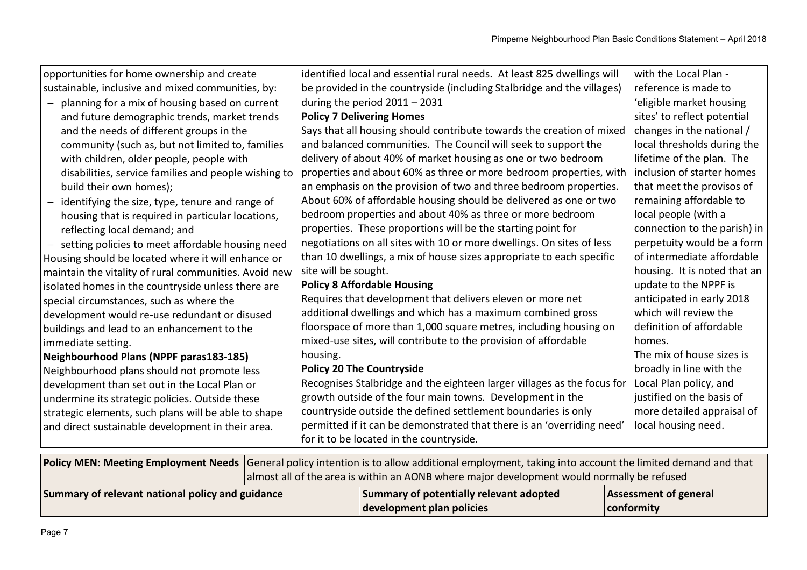|                                                      | opportunities for home ownership and create                                 | identified local and essential rural needs. At least 825 dwellings will                                     | with the Local Plan -        |
|------------------------------------------------------|-----------------------------------------------------------------------------|-------------------------------------------------------------------------------------------------------------|------------------------------|
|                                                      | sustainable, inclusive and mixed communities, by:                           | be provided in the countryside (including Stalbridge and the villages)                                      | reference is made to         |
|                                                      | planning for a mix of housing based on current                              | during the period $2011 - 2031$                                                                             | 'eligible market housing     |
|                                                      | and future demographic trends, market trends                                | <b>Policy 7 Delivering Homes</b>                                                                            | sites' to reflect potential  |
|                                                      | and the needs of different groups in the                                    | Says that all housing should contribute towards the creation of mixed                                       | changes in the national /    |
|                                                      | community (such as, but not limited to, families                            | and balanced communities. The Council will seek to support the                                              | local thresholds during the  |
|                                                      | with children, older people, people with                                    | delivery of about 40% of market housing as one or two bedroom                                               | lifetime of the plan. The    |
|                                                      | disabilities, service families and people wishing to                        | properties and about 60% as three or more bedroom properties, with                                          | inclusion of starter homes   |
|                                                      | build their own homes);                                                     | an emphasis on the provision of two and three bedroom properties.                                           | that meet the provisos of    |
|                                                      | identifying the size, type, tenure and range of<br>$\overline{\phantom{0}}$ | About 60% of affordable housing should be delivered as one or two                                           | remaining affordable to      |
|                                                      | housing that is required in particular locations,                           | bedroom properties and about 40% as three or more bedroom                                                   | local people (with a         |
|                                                      | reflecting local demand; and                                                | properties. These proportions will be the starting point for                                                | connection to the parish) in |
|                                                      | - setting policies to meet affordable housing need                          | negotiations on all sites with 10 or more dwellings. On sites of less                                       | perpetuity would be a form   |
|                                                      | Housing should be located where it will enhance or                          | than 10 dwellings, a mix of house sizes appropriate to each specific                                        | of intermediate affordable   |
|                                                      | maintain the vitality of rural communities. Avoid new                       | site will be sought.                                                                                        | housing. It is noted that an |
|                                                      | isolated homes in the countryside unless there are                          | <b>Policy 8 Affordable Housing</b>                                                                          | update to the NPPF is        |
| special circumstances, such as where the             |                                                                             | Requires that development that delivers eleven or more net                                                  | anticipated in early 2018    |
| development would re-use redundant or disused        |                                                                             | additional dwellings and which has a maximum combined gross                                                 | which will review the        |
| buildings and lead to an enhancement to the          |                                                                             | floorspace of more than 1,000 square metres, including housing on                                           | definition of affordable     |
| immediate setting.                                   |                                                                             | mixed-use sites, will contribute to the provision of affordable                                             | homes.                       |
|                                                      | Neighbourhood Plans (NPPF paras183-185)                                     | housing.                                                                                                    | The mix of house sizes is    |
|                                                      | Neighbourhood plans should not promote less                                 | <b>Policy 20 The Countryside</b>                                                                            | broadly in line with the     |
|                                                      | development than set out in the Local Plan or                               | Recognises Stalbridge and the eighteen larger villages as the focus for                                     | Local Plan policy, and       |
| undermine its strategic policies. Outside these      |                                                                             | growth outside of the four main towns. Development in the                                                   | justified on the basis of    |
| strategic elements, such plans will be able to shape |                                                                             | countryside outside the defined settlement boundaries is only                                               | more detailed appraisal of   |
| and direct sustainable development in their area.    |                                                                             | permitted if it can be demonstrated that there is an 'overriding need'                                      | local housing need.          |
|                                                      |                                                                             | for it to be located in the countryside.                                                                    |                              |
|                                                      | <b>Policy MEN: Meeting Employment Needs</b>                                 | General policy intention is to allow additional employment, taking into account the limited demand and that |                              |
|                                                      |                                                                             | almost all of the area is within an AONB where major development would normally be refused                  |                              |
|                                                      |                                                                             |                                                                                                             |                              |

| Summary of relevant national policy and guidance | Summary of potentially relevant adopted | Assessment of general |  |  |
|--------------------------------------------------|-----------------------------------------|-----------------------|--|--|
|                                                  | development plan policies               | conformity            |  |  |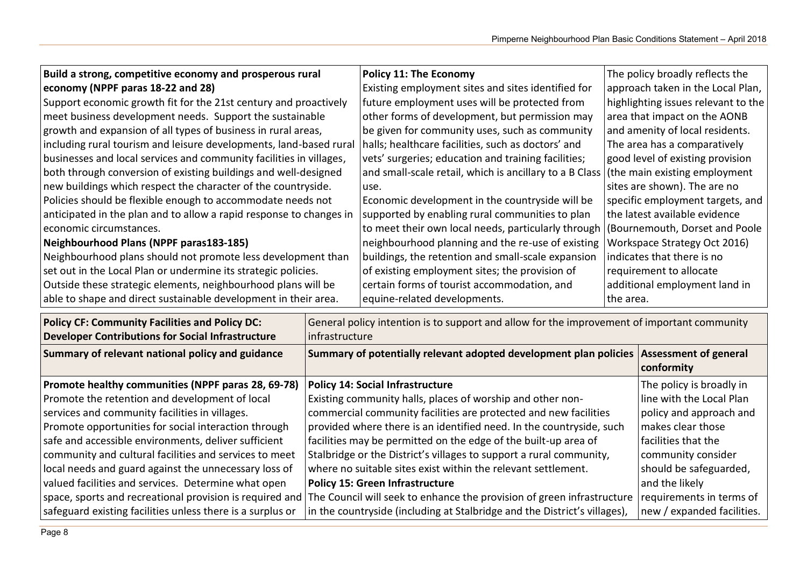| Build a strong, competitive economy and prosperous rural<br>economy (NPPF paras 18-22 and 28)<br>Support economic growth fit for the 21st century and proactively<br>meet business development needs. Support the sustainable<br>growth and expansion of all types of business in rural areas,<br>including rural tourism and leisure developments, land-based rural<br>businesses and local services and community facilities in villages,<br>both through conversion of existing buildings and well-designed<br>new buildings which respect the character of the countryside.<br>Policies should be flexible enough to accommodate needs not<br>anticipated in the plan and to allow a rapid response to changes in<br>economic circumstances.<br><b>Neighbourhood Plans (NPPF paras183-185)</b><br>Neighbourhood plans should not promote less development than<br>set out in the Local Plan or undermine its strategic policies.<br>Outside these strategic elements, neighbourhood plans will be |                                                                                                                                                                                                                                                                                                                                                                                                                                                                                                                                                                                                                                                                                                                             | <b>Policy 11: The Economy</b><br>Existing employment sites and sites identified for<br>future employment uses will be protected from<br>other forms of development, but permission may<br>be given for community uses, such as community<br>halls; healthcare facilities, such as doctors' and<br>vets' surgeries; education and training facilities;<br>and small-scale retail, which is ancillary to a B Class<br>use.<br>Economic development in the countryside will be<br>supported by enabling rural communities to plan<br>to meet their own local needs, particularly through<br>neighbourhood planning and the re-use of existing<br>buildings, the retention and small-scale expansion<br>of existing employment sites; the provision of<br>certain forms of tourist accommodation, and |           | The policy broadly reflects the<br>approach taken in the Local Plan,<br>highlighting issues relevant to the<br>area that impact on the AONB<br>and amenity of local residents.<br>The area has a comparatively<br>good level of existing provision<br>(the main existing employment<br>sites are shown). The are no<br>specific employment targets, and<br>the latest available evidence<br>(Bournemouth, Dorset and Poole<br>Workspace Strategy Oct 2016)<br>indicates that there is no<br>requirement to allocate<br>additional employment land in |  |
|-------------------------------------------------------------------------------------------------------------------------------------------------------------------------------------------------------------------------------------------------------------------------------------------------------------------------------------------------------------------------------------------------------------------------------------------------------------------------------------------------------------------------------------------------------------------------------------------------------------------------------------------------------------------------------------------------------------------------------------------------------------------------------------------------------------------------------------------------------------------------------------------------------------------------------------------------------------------------------------------------------|-----------------------------------------------------------------------------------------------------------------------------------------------------------------------------------------------------------------------------------------------------------------------------------------------------------------------------------------------------------------------------------------------------------------------------------------------------------------------------------------------------------------------------------------------------------------------------------------------------------------------------------------------------------------------------------------------------------------------------|---------------------------------------------------------------------------------------------------------------------------------------------------------------------------------------------------------------------------------------------------------------------------------------------------------------------------------------------------------------------------------------------------------------------------------------------------------------------------------------------------------------------------------------------------------------------------------------------------------------------------------------------------------------------------------------------------------------------------------------------------------------------------------------------------|-----------|------------------------------------------------------------------------------------------------------------------------------------------------------------------------------------------------------------------------------------------------------------------------------------------------------------------------------------------------------------------------------------------------------------------------------------------------------------------------------------------------------------------------------------------------------|--|
| able to shape and direct sustainable development in their area.                                                                                                                                                                                                                                                                                                                                                                                                                                                                                                                                                                                                                                                                                                                                                                                                                                                                                                                                       |                                                                                                                                                                                                                                                                                                                                                                                                                                                                                                                                                                                                                                                                                                                             | equine-related developments.                                                                                                                                                                                                                                                                                                                                                                                                                                                                                                                                                                                                                                                                                                                                                                      | the area. |                                                                                                                                                                                                                                                                                                                                                                                                                                                                                                                                                      |  |
| <b>Policy CF: Community Facilities and Policy DC:</b><br><b>Developer Contributions for Social Infrastructure</b><br>infrastructure                                                                                                                                                                                                                                                                                                                                                                                                                                                                                                                                                                                                                                                                                                                                                                                                                                                                   |                                                                                                                                                                                                                                                                                                                                                                                                                                                                                                                                                                                                                                                                                                                             | General policy intention is to support and allow for the improvement of important community                                                                                                                                                                                                                                                                                                                                                                                                                                                                                                                                                                                                                                                                                                       |           |                                                                                                                                                                                                                                                                                                                                                                                                                                                                                                                                                      |  |
| Summary of relevant national policy and guidance                                                                                                                                                                                                                                                                                                                                                                                                                                                                                                                                                                                                                                                                                                                                                                                                                                                                                                                                                      |                                                                                                                                                                                                                                                                                                                                                                                                                                                                                                                                                                                                                                                                                                                             | Summary of potentially relevant adopted development plan policies                                                                                                                                                                                                                                                                                                                                                                                                                                                                                                                                                                                                                                                                                                                                 |           | <b>Assessment of general</b><br>conformity                                                                                                                                                                                                                                                                                                                                                                                                                                                                                                           |  |
| Promote healthy communities (NPPF paras 28, 69-78)<br>Promote the retention and development of local<br>services and community facilities in villages.<br>Promote opportunities for social interaction through<br>safe and accessible environments, deliver sufficient<br>community and cultural facilities and services to meet<br>local needs and guard against the unnecessary loss of<br>valued facilities and services. Determine what open<br>space, sports and recreational provision is required and                                                                                                                                                                                                                                                                                                                                                                                                                                                                                          | <b>Policy 14: Social Infrastructure</b><br>Existing community halls, places of worship and other non-<br>commercial community facilities are protected and new facilities<br>provided where there is an identified need. In the countryside, such<br>facilities may be permitted on the edge of the built-up area of<br>Stalbridge or the District's villages to support a rural community,<br>where no suitable sites exist within the relevant settlement.<br><b>Policy 15: Green Infrastructure</b><br>The Council will seek to enhance the provision of green infrastructure<br>safeguard existing facilities unless there is a surplus or<br>in the countryside (including at Stalbridge and the District's villages), |                                                                                                                                                                                                                                                                                                                                                                                                                                                                                                                                                                                                                                                                                                                                                                                                   |           | The policy is broadly in<br>line with the Local Plan<br>policy and approach and<br>makes clear those<br>facilities that the<br>community consider<br>should be safeguarded,<br>and the likely<br>requirements in terms of<br>new / expanded facilities.                                                                                                                                                                                                                                                                                              |  |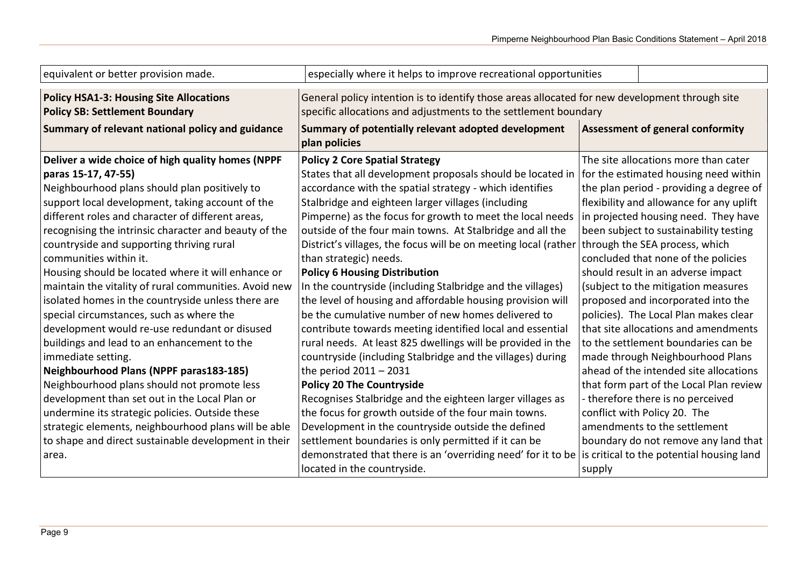| equivalent or better provision made.                                                    | especially where it helps to improve recreational opportunities                                                                                                   |                                         |                                           |  |  |
|-----------------------------------------------------------------------------------------|-------------------------------------------------------------------------------------------------------------------------------------------------------------------|-----------------------------------------|-------------------------------------------|--|--|
| <b>Policy HSA1-3: Housing Site Allocations</b><br><b>Policy SB: Settlement Boundary</b> | General policy intention is to identify those areas allocated for new development through site<br>specific allocations and adjustments to the settlement boundary |                                         |                                           |  |  |
| Summary of relevant national policy and guidance                                        | Summary of potentially relevant adopted development<br>plan policies                                                                                              | <b>Assessment of general conformity</b> |                                           |  |  |
| Deliver a wide choice of high quality homes (NPPF                                       | <b>Policy 2 Core Spatial Strategy</b>                                                                                                                             |                                         | The site allocations more than cater      |  |  |
| paras 15-17, 47-55)                                                                     | States that all development proposals should be located in                                                                                                        |                                         | for the estimated housing need within     |  |  |
| Neighbourhood plans should plan positively to                                           | accordance with the spatial strategy - which identifies                                                                                                           |                                         | the plan period - providing a degree of   |  |  |
| support local development, taking account of the                                        | Stalbridge and eighteen larger villages (including                                                                                                                |                                         | flexibility and allowance for any uplift  |  |  |
| different roles and character of different areas,                                       | Pimperne) as the focus for growth to meet the local needs                                                                                                         |                                         | in projected housing need. They have      |  |  |
| recognising the intrinsic character and beauty of the                                   | outside of the four main towns. At Stalbridge and all the                                                                                                         |                                         | been subject to sustainability testing    |  |  |
| countryside and supporting thriving rural                                               | District's villages, the focus will be on meeting local (rather                                                                                                   |                                         | through the SEA process, which            |  |  |
| communities within it.                                                                  | than strategic) needs.                                                                                                                                            |                                         | concluded that none of the policies       |  |  |
| Housing should be located where it will enhance or                                      | <b>Policy 6 Housing Distribution</b>                                                                                                                              |                                         | should result in an adverse impact        |  |  |
| maintain the vitality of rural communities. Avoid new                                   | In the countryside (including Stalbridge and the villages)                                                                                                        |                                         | (subject to the mitigation measures       |  |  |
| isolated homes in the countryside unless there are                                      | the level of housing and affordable housing provision will                                                                                                        |                                         | proposed and incorporated into the        |  |  |
| special circumstances, such as where the                                                | be the cumulative number of new homes delivered to                                                                                                                |                                         | policies). The Local Plan makes clear     |  |  |
| development would re-use redundant or disused                                           | contribute towards meeting identified local and essential                                                                                                         |                                         | that site allocations and amendments      |  |  |
| buildings and lead to an enhancement to the                                             | rural needs. At least 825 dwellings will be provided in the                                                                                                       |                                         | to the settlement boundaries can be       |  |  |
| immediate setting.                                                                      | countryside (including Stalbridge and the villages) during                                                                                                        |                                         | made through Neighbourhood Plans          |  |  |
| <b>Neighbourhood Plans (NPPF paras183-185)</b>                                          | the period $2011 - 2031$                                                                                                                                          |                                         | ahead of the intended site allocations    |  |  |
| Neighbourhood plans should not promote less                                             | <b>Policy 20 The Countryside</b>                                                                                                                                  |                                         | that form part of the Local Plan review   |  |  |
| development than set out in the Local Plan or                                           | Recognises Stalbridge and the eighteen larger villages as                                                                                                         |                                         | - therefore there is no perceived         |  |  |
| undermine its strategic policies. Outside these                                         | the focus for growth outside of the four main towns.                                                                                                              |                                         | conflict with Policy 20. The              |  |  |
| strategic elements, neighbourhood plans will be able                                    | Development in the countryside outside the defined                                                                                                                |                                         | amendments to the settlement              |  |  |
| to shape and direct sustainable development in their                                    | settlement boundaries is only permitted if it can be                                                                                                              |                                         | boundary do not remove any land that      |  |  |
| area.                                                                                   | demonstrated that there is an 'overriding need' for it to be                                                                                                      |                                         | is critical to the potential housing land |  |  |
|                                                                                         | located in the countryside.                                                                                                                                       | supply                                  |                                           |  |  |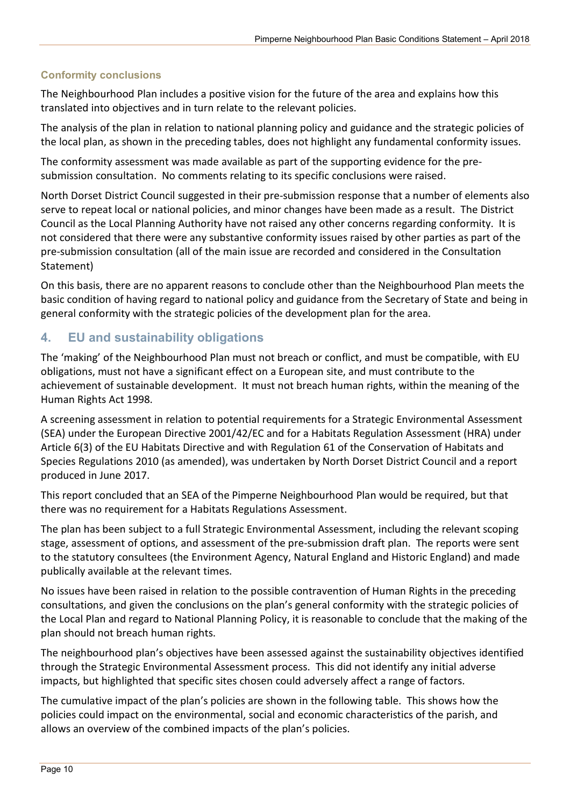#### <span id="page-11-0"></span>**Conformity conclusions**

The Neighbourhood Plan includes a positive vision for the future of the area and explains how this translated into objectives and in turn relate to the relevant policies.

The analysis of the plan in relation to national planning policy and guidance and the strategic policies of the local plan, as shown in the preceding tables, does not highlight any fundamental conformity issues.

The conformity assessment was made available as part of the supporting evidence for the presubmission consultation. No comments relating to its specific conclusions were raised.

North Dorset District Council suggested in their pre-submission response that a number of elements also serve to repeat local or national policies, and minor changes have been made as a result. The District Council as the Local Planning Authority have not raised any other concerns regarding conformity. It is not considered that there were any substantive conformity issues raised by other parties as part of the pre-submission consultation (all of the main issue are recorded and considered in the Consultation Statement)

On this basis, there are no apparent reasons to conclude other than the Neighbourhood Plan meets the basic condition of having regard to national policy and guidance from the Secretary of State and being in general conformity with the strategic policies of the development plan for the area.

# <span id="page-11-1"></span>**4. EU and sustainability obligations**

The 'making' of the Neighbourhood Plan must not breach or conflict, and must be compatible, with EU obligations, must not have a significant effect on a European site, and must contribute to the achievement of sustainable development. It must not breach human rights, within the meaning of the Human Rights Act 1998.

A screening assessment in relation to potential requirements for a Strategic Environmental Assessment (SEA) under the European Directive 2001/42/EC and for a Habitats Regulation Assessment (HRA) under Article 6(3) of the EU Habitats Directive and with Regulation 61 of the Conservation of Habitats and Species Regulations 2010 (as amended), was undertaken by North Dorset District Council and a report produced in June 2017.

This report concluded that an SEA of the Pimperne Neighbourhood Plan would be required, but that there was no requirement for a Habitats Regulations Assessment.

The plan has been subject to a full Strategic Environmental Assessment, including the relevant scoping stage, assessment of options, and assessment of the pre-submission draft plan. The reports were sent to the statutory consultees (the Environment Agency, Natural England and Historic England) and made publically available at the relevant times.

No issues have been raised in relation to the possible contravention of Human Rights in the preceding consultations, and given the conclusions on the plan's general conformity with the strategic policies of the Local Plan and regard to National Planning Policy, it is reasonable to conclude that the making of the plan should not breach human rights.

The neighbourhood plan's objectives have been assessed against the sustainability objectives identified through the Strategic Environmental Assessment process. This did not identify any initial adverse impacts, but highlighted that specific sites chosen could adversely affect a range of factors.

The cumulative impact of the plan's policies are shown in the following table. This shows how the policies could impact on the environmental, social and economic characteristics of the parish, and allows an overview of the combined impacts of the plan's policies.